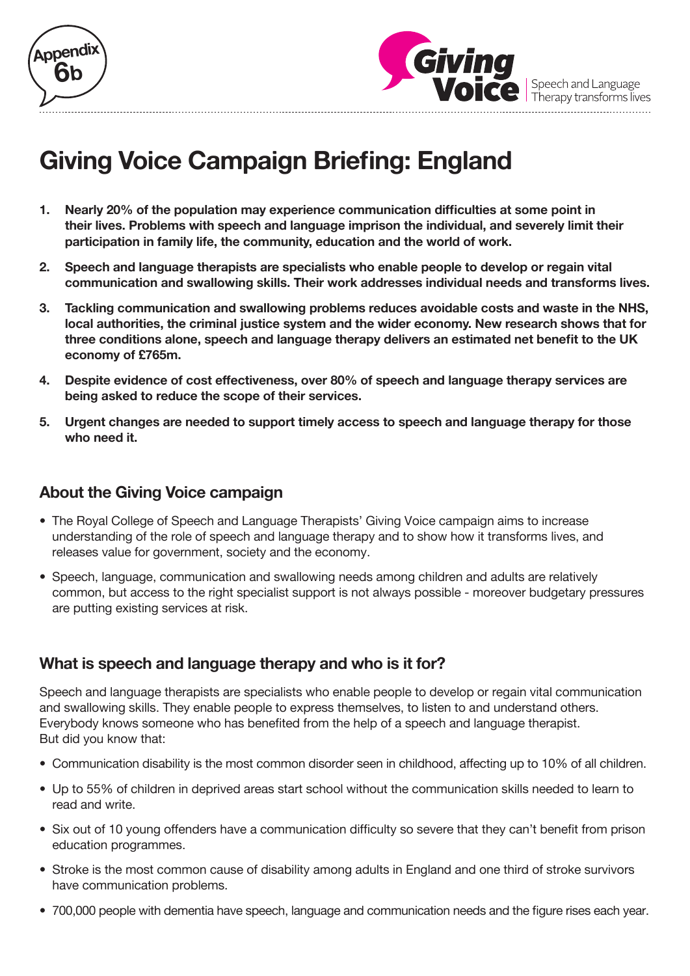



Speech and Language<br>Therapy transforms lives

# **Giving Voice Campaign Briefing: England**

- **1. Nearly 20% of the population may experience communication difficulties at some point in their lives. Problems with speech and language imprison the individual, and severely limit their participation in family life, the community, education and the world of work.**
- **2. Speech and language therapists are specialists who enable people to develop or regain vital communication and swallowing skills. Their work addresses individual needs and transforms lives.**
- **3. Tackling communication and swallowing problems reduces avoidable costs and waste in the NHS, local authorities, the criminal justice system and the wider economy. New research shows that for three conditions alone, speech and language therapy delivers an estimated net benefit to the UK economy of £765m.**
- **4. Despite evidence of cost effectiveness, over 80% of speech and language therapy services are being asked to reduce the scope of their services.**
- **5. Urgent changes are needed to support timely access to speech and language therapy for those who need it.**

## **About the Giving Voice campaign**

- The Royal College of Speech and Language Therapists' Giving Voice campaign aims to increase understanding of the role of speech and language therapy and to show how it transforms lives, and releases value for government, society and the economy.
- Speech, language, communication and swallowing needs among children and adults are relatively common, but access to the right specialist support is not always possible - moreover budgetary pressures are putting existing services at risk.

## **What is speech and language therapy and who is it for?**

Speech and language therapists are specialists who enable people to develop or regain vital communication and swallowing skills. They enable people to express themselves, to listen to and understand others. Everybody knows someone who has benefited from the help of a speech and language therapist. But did you know that:

- Communication disability is the most common disorder seen in childhood, affecting up to 10% of all children.
- • Up to 55% of children in deprived areas start school without the communication skills needed to learn to read and write.
- Six out of 10 young offenders have a communication difficulty so severe that they can't benefit from prison education programmes.
- Stroke is the most common cause of disability among adults in England and one third of stroke survivors have communication problems.
- 700,000 people with dementia have speech, language and communication needs and the figure rises each year.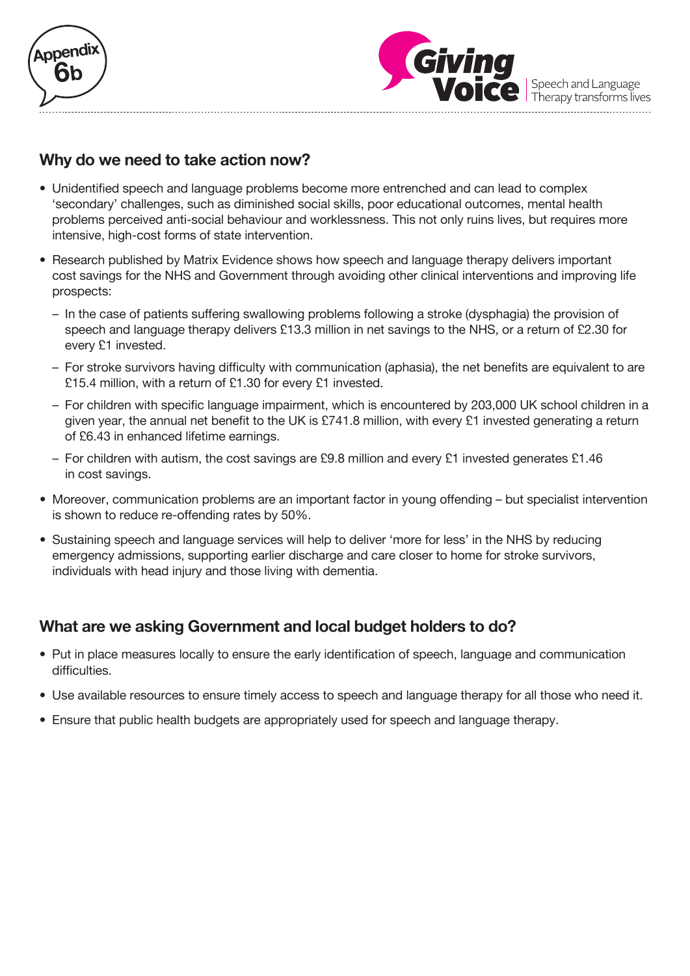



#### **Why do we need to take action now?**

- Unidentified speech and language problems become more entrenched and can lead to complex 'secondary' challenges, such as diminished social skills, poor educational outcomes, mental health problems perceived anti-social behaviour and worklessness. This not only ruins lives, but requires more intensive, high-cost forms of state intervention.
- Research published by Matrix Evidence shows how speech and language therapy delivers important cost savings for the NHS and Government through avoiding other clinical interventions and improving life prospects:
	- In the case of patients suffering swallowing problems following a stroke (dysphagia) the provision of speech and language therapy delivers £13.3 million in net savings to the NHS, or a return of £2.30 for every £1 invested.
	- For stroke survivors having difficulty with communication (aphasia), the net benefits are equivalent to are £15.4 million, with a return of £1.30 for every £1 invested.
	- For children with specific language impairment, which is encountered by 203,000 UK school children in a given year, the annual net benefit to the UK is £741.8 million, with every £1 invested generating a return of £6.43 in enhanced lifetime earnings.
	- For children with autism, the cost savings are £9.8 million and every £1 invested generates £1.46 in cost savings.
- Moreover, communication problems are an important factor in young offending but specialist intervention is shown to reduce re-offending rates by 50%.
- Sustaining speech and language services will help to deliver 'more for less' in the NHS by reducing emergency admissions, supporting earlier discharge and care closer to home for stroke survivors, individuals with head injury and those living with dementia.

## **What are we asking Government and local budget holders to do?**

- Put in place measures locally to ensure the early identification of speech, language and communication difficulties.
- Use available resources to ensure timely access to speech and language therapy for all those who need it.
- Ensure that public health budgets are appropriately used for speech and language therapy.